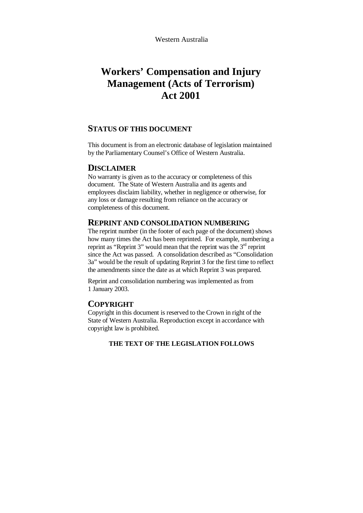## **Workers' Compensation and Injury Management (Acts of Terrorism) Act 2001**

#### **STATUS OF THIS DOCUMENT**

This document is from an electronic database of legislation maintained by the Parliamentary Counsel's Office of Western Australia.

#### **DISCLAIMER**

No warranty is given as to the accuracy or completeness of this document. The State of Western Australia and its agents and employees disclaim liability, whether in negligence or otherwise, for any loss or damage resulting from reliance on the accuracy or completeness of this document.

#### **REPRINT AND CONSOLIDATION NUMBERING**

The reprint number (in the footer of each page of the document) shows how many times the Act has been reprinted. For example, numbering a reprint as "Reprint 3" would mean that the reprint was the  $3<sup>rd</sup>$  reprint since the Act was passed. A consolidation described as "Consolidation 3a" would be the result of updating Reprint 3 for the first time to reflect the amendments since the date as at which Reprint 3 was prepared.

Reprint and consolidation numbering was implemented as from 1 January 2003.

### **COPYRIGHT**

Copyright in this document is reserved to the Crown in right of the State of Western Australia. Reproduction except in accordance with copyright law is prohibited.

#### **THE TEXT OF THE LEGISLATION FOLLOWS**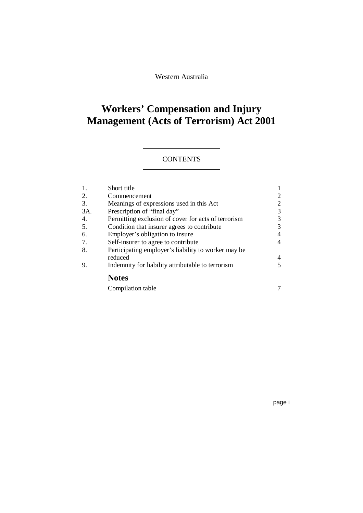Western Australia

# **Workers' Compensation and Injury Management (Acts of Terrorism) Act 2001**

## **CONTENTS**

| 1.  | Short title                                         |   |
|-----|-----------------------------------------------------|---|
| 2.  | Commencement                                        | 2 |
| 3.  | Meanings of expressions used in this Act            | 2 |
| 3A. | Prescription of "final day"                         | 3 |
| 4.  | Permitting exclusion of cover for acts of terrorism | 3 |
| 5.  | Condition that insurer agrees to contribute         | 3 |
| 6.  | Employer's obligation to insure                     | 4 |
| 7.  | Self-insurer to agree to contribute                 | 4 |
| 8.  | Participating employer's liability to worker may be |   |
|     | reduced                                             | 4 |
| 9.  | Indemnity for liability attributable to terrorism   | 5 |
|     | <b>Notes</b>                                        |   |
|     | Compilation table                                   |   |
|     |                                                     |   |

page i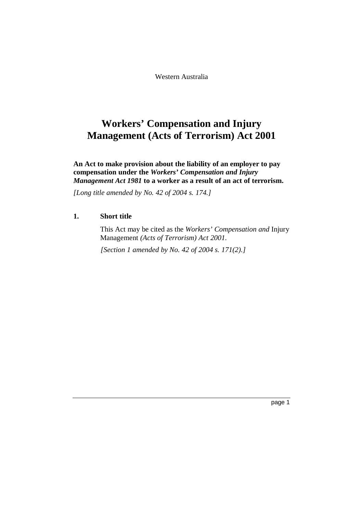Western Australia

## **Workers' Compensation and Injury Management (Acts of Terrorism) Act 2001**

**An Act to make provision about the liability of an employer to pay compensation under the** *Workers' Compensation and Injury Management Act 1981* **to a worker as a result of an act of terrorism.**

*[Long title amended by No. 42 of 2004 s. 174.]*

#### **1. Short title**

This Act may be cited as the *Workers' Compensation and* Injury Management *(Acts of Terrorism) Act 2001*.

*[Section 1 amended by No. 42 of 2004 s. 171(2).]*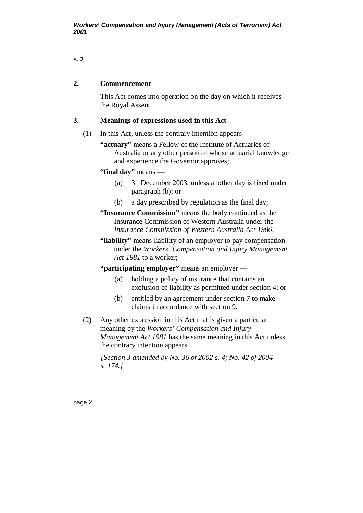#### **s. 2**

## **2. Commencement**

This Act comes into operation on the day on which it receives the Royal Assent.

#### **3. Meanings of expressions used in this Act**

(1) In this Act, unless the contrary intention appears —

**"actuary"** means a Fellow of the Institute of Actuaries of Australia or any other person of whose actuarial knowledge and experience the Governor approves;

**"final day"** means —

- (a) 31 December 2003, unless another day is fixed under paragraph (b); or
- (b) a day prescribed by regulation as the final day;
- **"Insurance Commission"** means the body continued as the Insurance Commission of Western Australia under the *Insurance Commission of Western Australia Act 1986*;
- **"liability"** means liability of an employer to pay compensation under the *Workers' Compensation and Injury Management Act 1981* to a worker;

**"participating employer"** means an employer —

- (a) holding a policy of insurance that contains an exclusion of liability as permitted under section 4; or
- (b) entitled by an agreement under section 7 to make claims in accordance with section 9.
- (2) Any other expression in this Act that is given a particular meaning by the *Workers' Compensation and Injury Management Act 1981* has the same meaning in this Act unless the contrary intention appears.

*[Section 3 amended by No. 36 of 2002 s. 4; No. 42 of 2004 s. 174.]*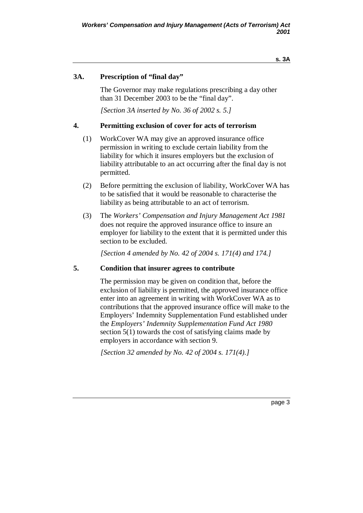## **3A. Prescription of "final day"**

The Governor may make regulations prescribing a day other than 31 December 2003 to be the "final day".

*[Section 3A inserted by No. 36 of 2002 s. 5.]*

### **4. Permitting exclusion of cover for acts of terrorism**

- (1) WorkCover WA may give an approved insurance office permission in writing to exclude certain liability from the liability for which it insures employers but the exclusion of liability attributable to an act occurring after the final day is not permitted.
- (2) Before permitting the exclusion of liability, WorkCover WA has to be satisfied that it would be reasonable to characterise the liability as being attributable to an act of terrorism.
- (3) The *Workers' Compensation and Injury Management Act 1981* does not require the approved insurance office to insure an employer for liability to the extent that it is permitted under this section to be excluded.

*[Section 4 amended by No. 42 of 2004 s. 171(4) and 174.]*

### **5. Condition that insurer agrees to contribute**

The permission may be given on condition that, before the exclusion of liability is permitted, the approved insurance office enter into an agreement in writing with WorkCover WA as to contributions that the approved insurance office will make to the Employers' Indemnity Supplementation Fund established under the *Employers' Indemnity Supplementation Fund Act 1980* section 5(1) towards the cost of satisfying claims made by employers in accordance with section 9.

*[Section 32 amended by No. 42 of 2004 s. 171(4).]*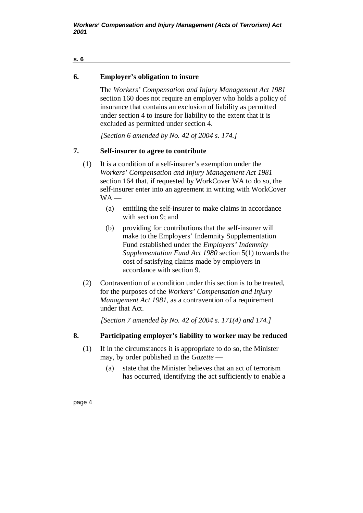#### **s. 6**

## **6. Employer's obligation to insure**

The *Workers' Compensation and Injury Management Act 1981* section 160 does not require an employer who holds a policy of insurance that contains an exclusion of liability as permitted under section 4 to insure for liability to the extent that it is excluded as permitted under section 4.

*[Section 6 amended by No. 42 of 2004 s. 174.]*

## **7. Self-insurer to agree to contribute**

- (1) It is a condition of a self-insurer's exemption under the *Workers' Compensation and Injury Management Act 1981* section 164 that, if requested by WorkCover WA to do so, the self-insurer enter into an agreement in writing with WorkCover  $WA -$ 
	- (a) entitling the self-insurer to make claims in accordance with section 9; and
	- (b) providing for contributions that the self-insurer will make to the Employers' Indemnity Supplementation Fund established under the *Employers' Indemnity Supplementation Fund Act 1980* section 5(1) towards the cost of satisfying claims made by employers in accordance with section 9.
- (2) Contravention of a condition under this section is to be treated, for the purposes of the *Workers' Compensation and Injury Management Act 1981*, as a contravention of a requirement under that Act.

*[Section 7 amended by No. 42 of 2004 s. 171(4) and 174.]*

### **8. Participating employer's liability to worker may be reduced**

- (1) If in the circumstances it is appropriate to do so, the Minister may, by order published in the *Gazette* —
	- (a) state that the Minister believes that an act of terrorism has occurred, identifying the act sufficiently to enable a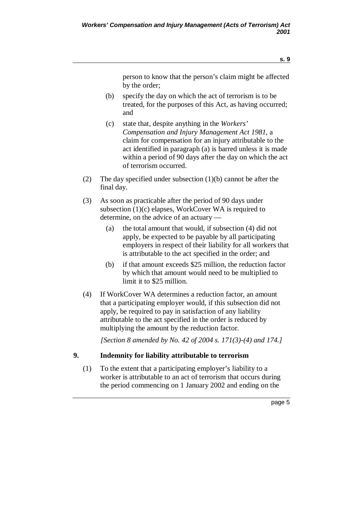person to know that the person's claim might be affected by the order;

- (b) specify the day on which the act of terrorism is to be treated, for the purposes of this Act, as having occurred; and
- (c) state that, despite anything in the *Workers' Compensation and Injury Management Act 1981*, a claim for compensation for an injury attributable to the act identified in paragraph (a) is barred unless it is made within a period of 90 days after the day on which the act of terrorism occurred.
- (2) The day specified under subsection (1)(b) cannot be after the final day.
- (3) As soon as practicable after the period of 90 days under subsection (1)(c) elapses, WorkCover WA is required to determine, on the advice of an actuary —
	- (a) the total amount that would, if subsection (4) did not apply, be expected to be payable by all participating employers in respect of their liability for all workers that is attributable to the act specified in the order; and
	- (b) if that amount exceeds \$25 million, the reduction factor by which that amount would need to be multiplied to limit it to \$25 million.
- (4) If WorkCover WA determines a reduction factor, an amount that a participating employer would, if this subsection did not apply, be required to pay in satisfaction of any liability attributable to the act specified in the order is reduced by multiplying the amount by the reduction factor.

*[Section 8 amended by No. 42 of 2004 s. 171(3)-(4) and 174.]*

### **9. Indemnity for liability attributable to terrorism**

(1) To the extent that a participating employer's liability to a worker is attributable to an act of terrorism that occurs during the period commencing on 1 January 2002 and ending on the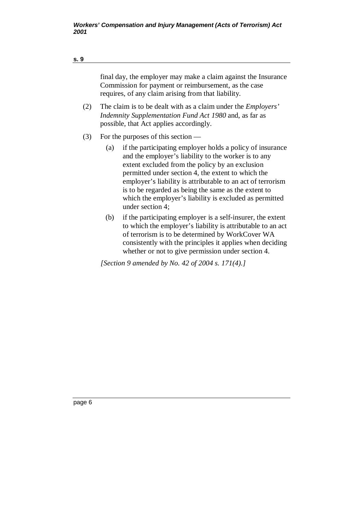| s. 9 |                                                                                                                                                                                  |                                                                                                                                                                                                                                                                                                                                                                                                                                                                          |  |  |  |
|------|----------------------------------------------------------------------------------------------------------------------------------------------------------------------------------|--------------------------------------------------------------------------------------------------------------------------------------------------------------------------------------------------------------------------------------------------------------------------------------------------------------------------------------------------------------------------------------------------------------------------------------------------------------------------|--|--|--|
|      | final day, the employer may make a claim against the Insurance<br>Commission for payment or reimbursement, as the case<br>requires, of any claim arising from that liability.    |                                                                                                                                                                                                                                                                                                                                                                                                                                                                          |  |  |  |
| (2)  | The claim is to be dealt with as a claim under the <i>Employers'</i><br><i>Indemnity Supplementation Fund Act 1980</i> and, as far as<br>possible, that Act applies accordingly. |                                                                                                                                                                                                                                                                                                                                                                                                                                                                          |  |  |  |
| (3)  | (a)                                                                                                                                                                              | For the purposes of this section $-$<br>if the participating employer holds a policy of insurance<br>and the employer's liability to the worker is to any<br>extent excluded from the policy by an exclusion<br>permitted under section 4, the extent to which the<br>employer's liability is attributable to an act of terrorism<br>is to be regarded as being the same as the extent to<br>which the employer's liability is excluded as permitted<br>under section 4; |  |  |  |
|      | (b)                                                                                                                                                                              | if the participating employer is a self-insurer, the extent<br>to which the employer's liability is attributable to an act<br>of terrorism is to be determined by WorkCover WA                                                                                                                                                                                                                                                                                           |  |  |  |

*[Section 9 amended by No. 42 of 2004 s. 171(4).]*

consistently with the principles it applies when deciding whether or not to give permission under section 4.

page 6

#### **s. 9**